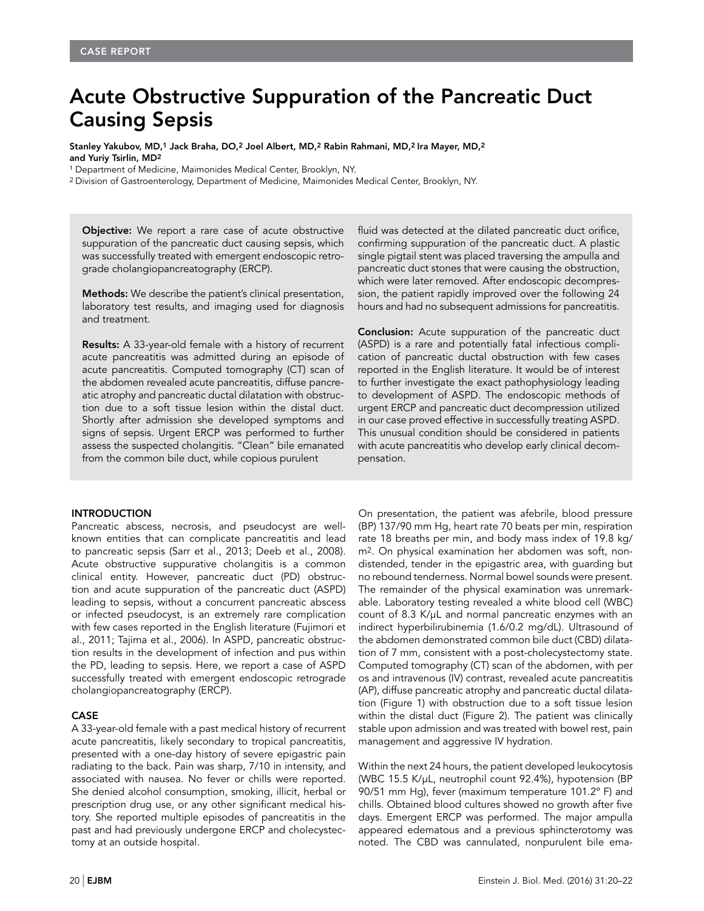# Acute Obstructive Suppuration of the Pancreatic Duct Causing Sepsis

Stanley Yakubov, MD,1 Jack Braha, DO,2 Joel Albert, MD,2 Rabin Rahmani, MD,2 Ira Mayer, MD,2 and Yuriy Tsirlin, MD2

<sup>1</sup> Department of Medicine, Maimonides Medical Center, Brooklyn, NY.

2 Division of Gastroenterology, Department of Medicine, Maimonides Medical Center, Brooklyn, NY.

**Objective:** We report a rare case of acute obstructive suppuration of the pancreatic duct causing sepsis, which was successfully treated with emergent endoscopic retrograde cholangiopancreatography (ERCP).

Methods: We describe the patient's clinical presentation, laboratory test results, and imaging used for diagnosis and treatment.

Results: A 33-year-old female with a history of recurrent acute pancreatitis was admitted during an episode of acute pancreatitis. Computed tomography (CT) scan of the abdomen revealed acute pancreatitis, diffuse pancreatic atrophy and pancreatic ductal dilatation with obstruction due to a soft tissue lesion within the distal duct. Shortly after admission she developed symptoms and signs of sepsis. Urgent ERCP was performed to further assess the suspected cholangitis. "Clean" bile emanated from the common bile duct, while copious purulent

## **INTRODUCTION**

Pancreatic abscess, necrosis, and pseudocyst are wellknown entities that can complicate pancreatitis and lead to pancreatic sepsis (Sarr et al., 2013; Deeb et al., 2008). Acute obstructive suppurative cholangitis is a common clinical entity. However, pancreatic duct (PD) obstruction and acute suppuration of the pancreatic duct (ASPD) leading to sepsis, without a concurrent pancreatic abscess or infected pseudocyst, is an extremely rare complication with few cases reported in the English literature (Fujimori et al., 2011; Tajima et al., 2006). In ASPD, pancreatic obstruction results in the development of infection and pus within the PD, leading to sepsis. Here, we report a case of ASPD successfully treated with emergent endoscopic retrograde cholangiopancreatography (ERCP).

### CASE

A 33-year-old female with a past medical history of recurrent acute pancreatitis, likely secondary to tropical pancreatitis, presented with a one-day history of severe epigastric pain radiating to the back. Pain was sharp, 7/10 in intensity, and associated with nausea. No fever or chills were reported. She denied alcohol consumption, smoking, illicit, herbal or prescription drug use, or any other significant medical history. She reported multiple episodes of pancreatitis in the past and had previously undergone ERCP and cholecystectomy at an outside hospital.

fluid was detected at the dilated pancreatic duct orifice, confirming suppuration of the pancreatic duct. A plastic single pigtail stent was placed traversing the ampulla and pancreatic duct stones that were causing the obstruction, which were later removed. After endoscopic decompression, the patient rapidly improved over the following 24 hours and had no subsequent admissions for pancreatitis.

**Conclusion:** Acute suppuration of the pancreatic duct (ASPD) is a rare and potentially fatal infectious complication of pancreatic ductal obstruction with few cases reported in the English literature. It would be of interest to further investigate the exact pathophysiology leading to development of ASPD. The endoscopic methods of urgent ERCP and pancreatic duct decompression utilized in our case proved effective in successfully treating ASPD. This unusual condition should be considered in patients with acute pancreatitis who develop early clinical decompensation.

On presentation, the patient was afebrile, blood pressure (BP) 137/90 mm Hg, heart rate 70 beats per min, respiration rate 18 breaths per min, and body mass index of 19.8 kg/ m2. On physical examination her abdomen was soft, nondistended, tender in the epigastric area, with guarding but no rebound tenderness. Normal bowel sounds were present. The remainder of the physical examination was unremarkable. Laboratory testing revealed a white blood cell (WBC) count of 8.3 K/µL and normal pancreatic enzymes with an indirect hyperbilirubinemia (1.6/0.2 mg/dL). Ultrasound of the abdomen demonstrated common bile duct (CBD) dilatation of 7 mm, consistent with a post-cholecystectomy state. Computed tomography (CT) scan of the abdomen, with per os and intravenous (IV) contrast, revealed acute pancreatitis (AP), diffuse pancreatic atrophy and pancreatic ductal dilatation (Figure 1) with obstruction due to a soft tissue lesion within the distal duct (Figure 2). The patient was clinically stable upon admission and was treated with bowel rest, pain management and aggressive IV hydration.

Within the next 24 hours, the patient developed leukocytosis (WBC 15.5 K/µL, neutrophil count 92.4%), hypotension (BP 90/51 mm Hg), fever (maximum temperature 101.2º F) and chills. Obtained blood cultures showed no growth after five days. Emergent ERCP was performed. The major ampulla appeared edematous and a previous sphincterotomy was noted. The CBD was cannulated, nonpurulent bile ema-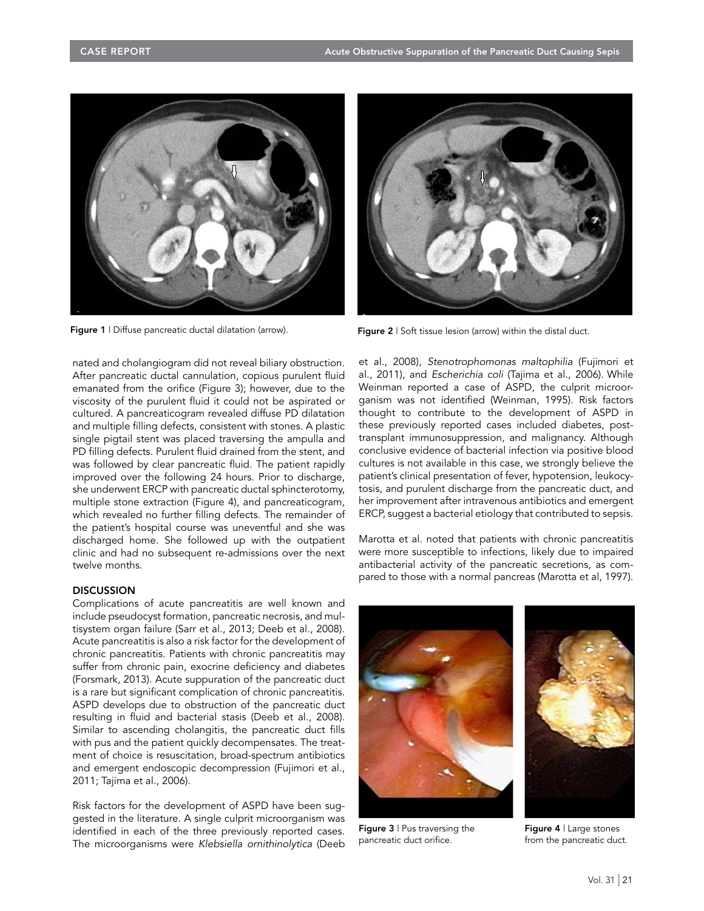

Figure 1 | Diffuse pancreatic ductal dilatation (arrow). Figure 2 | Soft tissue lesion (arrow) within the distal duct.

nated and cholangiogram did not reveal biliary obstruction. After pancreatic ductal cannulation, copious purulent fluid emanated from the orifice (Figure 3); however, due to the viscosity of the purulent fluid it could not be aspirated or cultured. A pancreaticogram revealed diffuse PD dilatation and multiple filling defects, consistent with stones. A plastic single pigtail stent was placed traversing the ampulla and PD filling defects. Purulent fluid drained from the stent, and was followed by clear pancreatic fluid. The patient rapidly improved over the following 24 hours. Prior to discharge, she underwent ERCP with pancreatic ductal sphincterotomy, multiple stone extraction (Figure 4), and pancreaticogram, which revealed no further filling defects. The remainder of the patient's hospital course was uneventful and she was discharged home. She followed up with the outpatient clinic and had no subsequent re-admissions over the next twelve months.

# **DISCUSSION**

Complications of acute pancreatitis are well known and include pseudocyst formation, pancreatic necrosis, and multisystem organ failure (Sarr et al., 2013; Deeb et al., 2008). Acute pancreatitis is also a risk factor for the development of chronic pancreatitis. Patients with chronic pancreatitis may suffer from chronic pain, exocrine deficiency and diabetes (Forsmark, 2013). Acute suppuration of the pancreatic duct is a rare but significant complication of chronic pancreatitis. ASPD develops due to obstruction of the pancreatic duct resulting in fluid and bacterial stasis (Deeb et al., 2008). Similar to ascending cholangitis, the pancreatic duct fills with pus and the patient quickly decompensates. The treatment of choice is resuscitation, broad-spectrum antibiotics and emergent endoscopic decompression (Fujimori et al., 2011; Tajima et al., 2006).

Risk factors for the development of ASPD have been suggested in the literature. A single culprit microorganism was identified in each of the three previously reported cases. The microorganisms were *Klebsiella ornithinolytica* (Deeb



et al., 2008), *Stenotrophomonas maltophilia* (Fujimori et al., 2011), and *Escherichia coli* (Tajima et al., 2006). While Weinman reported a case of ASPD, the culprit microorganism was not identified (Weinman, 1995). Risk factors thought to contribute to the development of ASPD in these previously reported cases included diabetes, posttransplant immunosuppression, and malignancy. Although conclusive evidence of bacterial infection via positive blood cultures is not available in this case, we strongly believe the patient's clinical presentation of fever, hypotension, leukocytosis, and purulent discharge from the pancreatic duct, and her improvement after intravenous antibiotics and emergent ERCP, suggest a bacterial etiology that contributed to sepsis.

Marotta et al. noted that patients with chronic pancreatitis were more susceptible to infections, likely due to impaired antibacterial activity of the pancreatic secretions, as compared to those with a normal pancreas (Marotta et al, 1997).



Figure 3 | Pus traversing the pancreatic duct orifice.



Figure 4 | Large stones from the pancreatic duct.